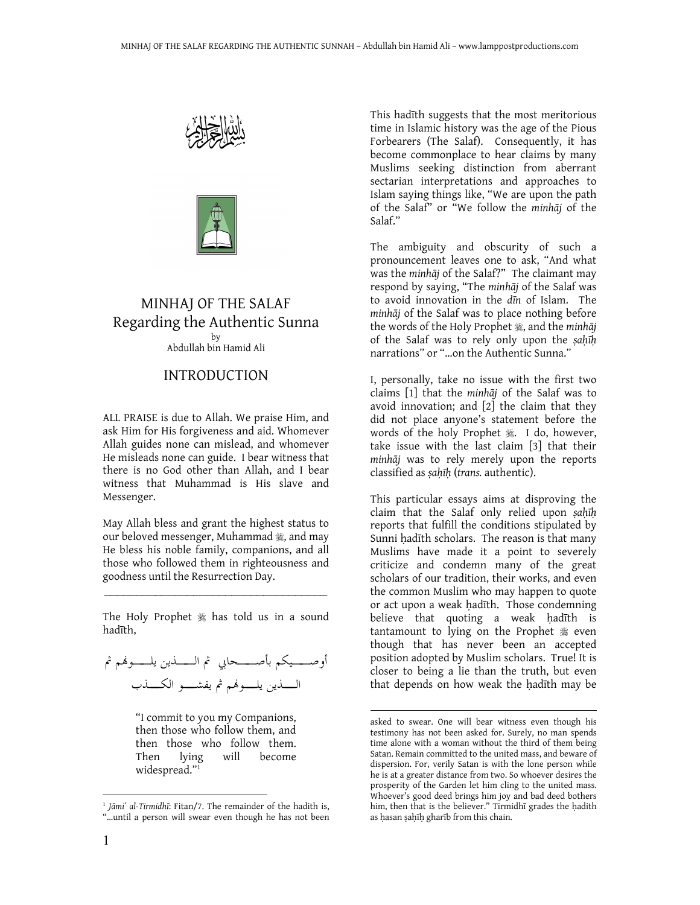



### MINHAJ OF THE SALAF Regarding the Authentic Sunna by Abdullah bin Hamid Ali

### INTRODUCTION

ALL PRAISE is due to Allah. We praise Him, and ask Him for His forgiveness and aid. Whomever Allah guides none can mislead, and whomever He misleads none can guide. I bear witness that there is no God other than Allah, and I bear witness that Muhammad is His slave and Messenger.

May Allah bless and grant the highest status to our beloved messenger, Muhammad  $\ast$ , and may He bless his noble family, companions, and all those who followed them in righteousness and goodness until the Resurrection Day.

\_\_\_\_\_\_\_\_\_\_\_\_\_\_\_\_\_\_\_\_\_\_\_\_\_\_\_\_\_\_\_\_\_\_\_ The Holy Prophet  $*$  has told us in a sound hadīth,

أوصــــــيكم بأصــــــحابي ثم الـــــــذين يلــــــوفمم ثم الــــــذين يلــــــونهم ثم يفشــــــو الكــــــذب

"I commit to you my Companions, then those who follow them, and then those who follow them. Then lying will become widespread."<sup>1</sup>

This hadīth suggests that the most meritorious time in Islamic history was the age of the Pious Forbearers (The Salaf). Consequently, it has become commonplace to hear claims by many Muslims seeking distinction from aberrant sectarian interpretations and approaches to Islam saying things like, "We are upon the path of the Salaf" or "We follow the minhāj of the Salaf."

The ambiguity and obscurity of such a pronouncement leaves one to ask, "And what was the minhāj of the Salaf?" The claimant may respond by saying, "The minhāj of the Salaf was to avoid innovation in the dīn of Islam. The minhāj of the Salaf was to place nothing before the words of the Holy Prophet , and the minhaj of the Salaf was to rely only upon the ṣaḥīḥ narrations" or "…on the Authentic Sunna."

I, personally, take no issue with the first two claims [1] that the minhāj of the Salaf was to avoid innovation; and [2] the claim that they did not place anyone's statement before the words of the holy Prophet . I do, however, take issue with the last claim [3] that their minhāj was to rely merely upon the reports classified as ṣaḥīḥ (trans. authentic).

This particular essays aims at disproving the claim that the Salaf only relied upon sahīh reports that fulfill the conditions stipulated by Sunni ḥadīth scholars. The reason is that many Muslims have made it a point to severely criticize and condemn many of the great scholars of our tradition, their works, and even the common Muslim who may happen to quote or act upon a weak hadīth. Those condemning believe that quoting a weak hadīth is tantamount to lying on the Prophet  $*$  even though that has never been an accepted position adopted by Muslim scholars. True! It is closer to being a lie than the truth, but even that depends on how weak the ḥadīth may be

 $\overline{a}$ 

<sup>&</sup>lt;sup>1</sup> Jāmi' al-Tirmidhī: Fitan/7. The remainder of the hadith is, "…until a person will swear even though he has not been

asked to swear. One will bear witness even though his testimony has not been asked for. Surely, no man spends time alone with a woman without the third of them being Satan. Remain committed to the united mass, and beware of dispersion. For, verily Satan is with the lone person while he is at a greater distance from two. So whoever desires the prosperity of the Garden let him cling to the united mass. Whoever's good deed brings him joy and bad deed bothers him, then that is the believer." Tirmidhī grades the ḥadith as ḥasan ṣaḥīḥ gharīb from this chain.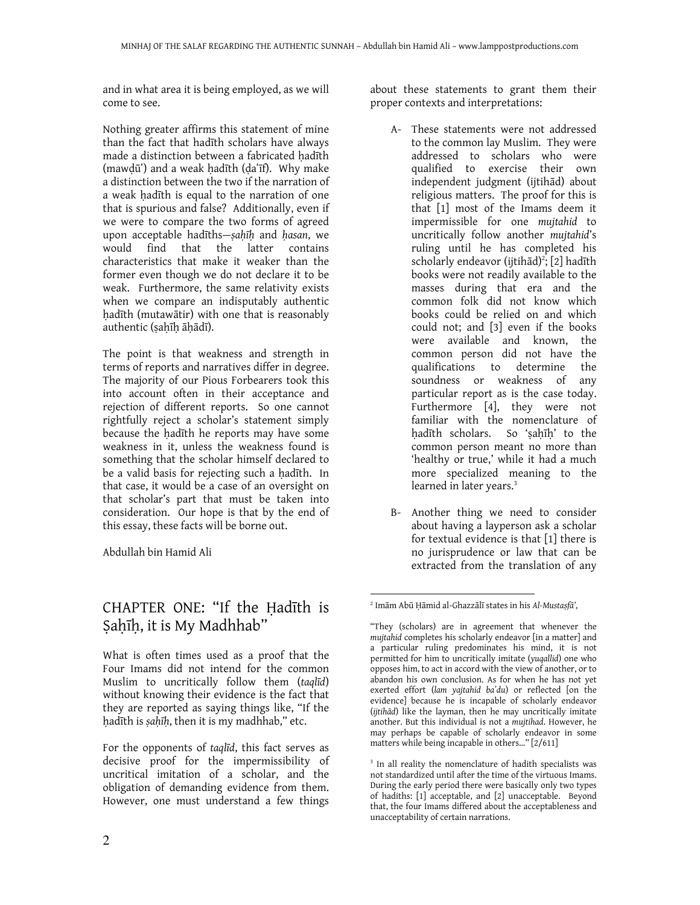and in what area it is being employed, as we will come to see.

Nothing greater affirms this statement of mine than the fact that hadīth scholars have always made a distinction between a fabricated hadīth (mawdūʿ) and a weak hadīth (daʿīf). Why make a distinction between the two if the narration of a weak ḥadīth is equal to the narration of one that is spurious and false? Additionally, even if we were to compare the two forms of agreed upon acceptable hadīths-sahīh and hasan, we would find that the latter contains characteristics that make it weaker than the former even though we do not declare it to be weak. Furthermore, the same relativity exists when we compare an indisputably authentic ḥadīth (mutawātir) with one that is reasonably authentic (ṣaḥīḥ āḥādī).

The point is that weakness and strength in terms of reports and narratives differ in degree. The majority of our Pious Forbearers took this into account often in their acceptance and rejection of different reports. So one cannot rightfully reject a scholar's statement simply because the ḥadīth he reports may have some weakness in it, unless the weakness found is something that the scholar himself declared to be a valid basis for rejecting such a hadīth. In that case, it would be a case of an oversight on that scholar's part that must be taken into consideration. Our hope is that by the end of this essay, these facts will be borne out.

Abdullah bin Hamid Ali

# CHAPTER ONE: "If the Ḥadīth is Sahīh, it is My Madhhab"

What is often times used as a proof that the Four Imams did not intend for the common Muslim to uncritically follow them (taqlīd) without knowing their evidence is the fact that they are reported as saying things like, "If the ḥadīth is ṣaḥīḥ, then it is my madhhab," etc.

For the opponents of taqlīd, this fact serves as decisive proof for the impermissibility of uncritical imitation of a scholar, and the obligation of demanding evidence from them. However, one must understand a few things

about these statements to grant them their proper contexts and interpretations:

- A- These statements were not addressed to the common lay Muslim. They were addressed to scholars who were qualified to exercise their own independent judgment (ijtihād) about religious matters. The proof for this is that [1] most of the Imams deem it impermissible for one mujtahid to uncritically follow another mujtahid's ruling until he has completed his scholarly endeavor (ijtihād)<sup>2</sup>; [2] hadīth books were not readily available to the masses during that era and the common folk did not know which books could be relied on and which could not; and [3] even if the books were available and known, the common person did not have the qualifications to determine the soundness or weakness of any particular report as is the case today. Furthermore [4], they were not familiar with the nomenclature of hadīth scholars. So 'sahīh' to the common person meant no more than 'healthy or true,' while it had a much more specialized meaning to the learned in later years.<sup>3</sup>
- B- Another thing we need to consider about having a layperson ask a scholar for textual evidence is that [1] there is no jurisprudence or law that can be extracted from the translation of any

<sup>2</sup> Imām Abū Ḥāmid al-Ghazzālī states in his Al-Mustaṣfā',

<sup>&</sup>quot;They (scholars) are in agreement that whenever the mujtahid completes his scholarly endeavor [in a matter] and a particular ruling predominates his mind, it is not permitted for him to uncritically imitate (yuqallid) one who opposes him, to act in accord with the view of another, or to abandon his own conclusion. As for when he has not yet exerted effort (lam yajtahid ba'du) or reflected [on the evidence] because he is incapable of scholarly endeavor (ijtihād) like the layman, then he may uncritically imitate another. But this individual is not a mujtihad. However, he may perhaps be capable of scholarly endeavor in some matters while being incapable in others…" [2/611]

<sup>&</sup>lt;sup>3</sup> In all reality the nomenclature of hadith specialists was not standardized until after the time of the virtuous Imams. During the early period there were basically only two types of hadiths: [1] acceptable, and [2] unacceptable. Beyond that, the four Imams differed about the acceptableness and unacceptability of certain narrations.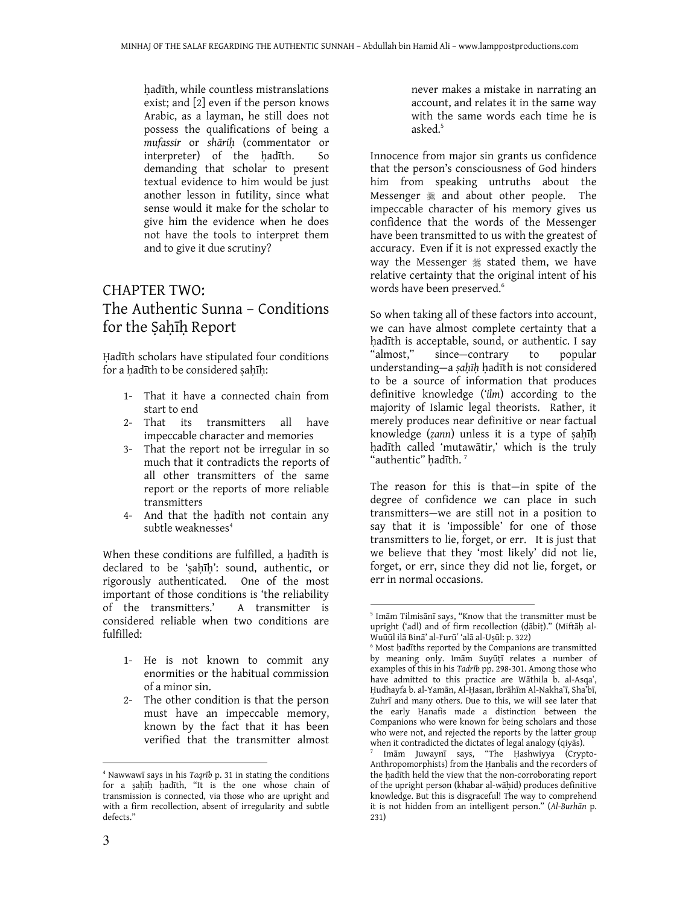hadīth, while countless mistranslations exist; and [2] even if the person knows Arabic, as a layman, he still does not possess the qualifications of being a mufassir or shāriḥ (commentator or interpreter) of the ḥadīth. So demanding that scholar to present textual evidence to him would be just another lesson in futility, since what sense would it make for the scholar to give him the evidence when he does not have the tools to interpret them and to give it due scrutiny?

# CHAPTER TWO: The Authentic Sunna – Conditions for the Sahīh Report

Ḥadīth scholars have stipulated four conditions for a ḥadīth to be considered ṣaḥīḥ:

- 1- That it have a connected chain from start to end
- 2- That its transmitters all have impeccable character and memories
- 3- That the report not be irregular in so much that it contradicts the reports of all other transmitters of the same report or the reports of more reliable transmitters
- 4- And that the ḥadīth not contain any subtle weaknesses<sup>4</sup>

When these conditions are fulfilled, a hadīth is declared to be 'sahīh': sound, authentic, or rigorously authenticated. One of the most important of those conditions is 'the reliability of the transmitters.' A transmitter is considered reliable when two conditions are fulfilled:

- 1- He is not known to commit any enormities or the habitual commission of a minor sin.
- 2- The other condition is that the person must have an impeccable memory, known by the fact that it has been verified that the transmitter almost

never makes a mistake in narrating an account, and relates it in the same way with the same words each time he is asked.<sup>5</sup>

Innocence from major sin grants us confidence that the person's consciousness of God hinders him from speaking untruths about the Messenger  $*$  and about other people. The impeccable character of his memory gives us confidence that the words of the Messenger have been transmitted to us with the greatest of accuracy. Even if it is not expressed exactly the way the Messenger  $*$  stated them, we have relative certainty that the original intent of his words have been preserved.<sup>6</sup>

So when taking all of these factors into account, we can have almost complete certainty that a ḥadīth is acceptable, sound, or authentic. I say "almost," since—contrary to popular understanding—a sahīh hadīth is not considered to be a source of information that produces definitive knowledge ('ilm) according to the majority of Islamic legal theorists. Rather, it merely produces near definitive or near factual knowledge (zann) unless it is a type of sahīh ḥadīth called 'mutawātir,' which is the truly "authentic" hadīth.<sup>7</sup>

The reason for this is that—in spite of the degree of confidence we can place in such transmitters—we are still not in a position to say that it is 'impossible' for one of those transmitters to lie, forget, or err. It is just that we believe that they 'most likely' did not lie, forget, or err, since they did not lie, forget, or err in normal occasions.

 $\overline{a}$ 

<sup>4</sup> Nawwawī says in his Taqrīb p. 31 in stating the conditions for a ṣaḥīḥ ḥadīth, "It is the one whose chain of transmission is connected, via those who are upright and with a firm recollection, absent of irregularity and subtle defects."

<sup>5</sup> Imām Tilmisānī says, "Know that the transmitter must be upright ('adl) and of firm recollection (ḍābiṭ)." (Miftāḥ al-Wuūūl ilā Binā' al-Furūʽ 'alā al-Uṣūl: p. 322)

<sup>6</sup> Most ḥadīths reported by the Companions are transmitted by meaning only. Imām Suyūṭī relates a number of examples of this in his Tadrīb pp. 298-301. Among those who have admitted to this practice are Wāthila b. al-Asqa', Ḥudhayfa b. al-Yamān, Al-Ḥasan, Ibrāhīm Al-Nakhaʽī, Shaʽbī, Zuhrī and many others. Due to this, we will see later that the early Ḥanafis made a distinction between the Companions who were known for being scholars and those who were not, and rejected the reports by the latter group when it contradicted the dictates of legal analogy (qiyās).

<sup>7</sup> Imām Juwaynī says, "The Ḥashwiyya (Crypto-Anthropomorphists) from the Ḥanbalis and the recorders of the ḥadīth held the view that the non-corroborating report of the upright person (khabar al-wāḥid) produces definitive knowledge. But this is disgraceful! The way to comprehend it is not hidden from an intelligent person." (Al-Burhān p. 231)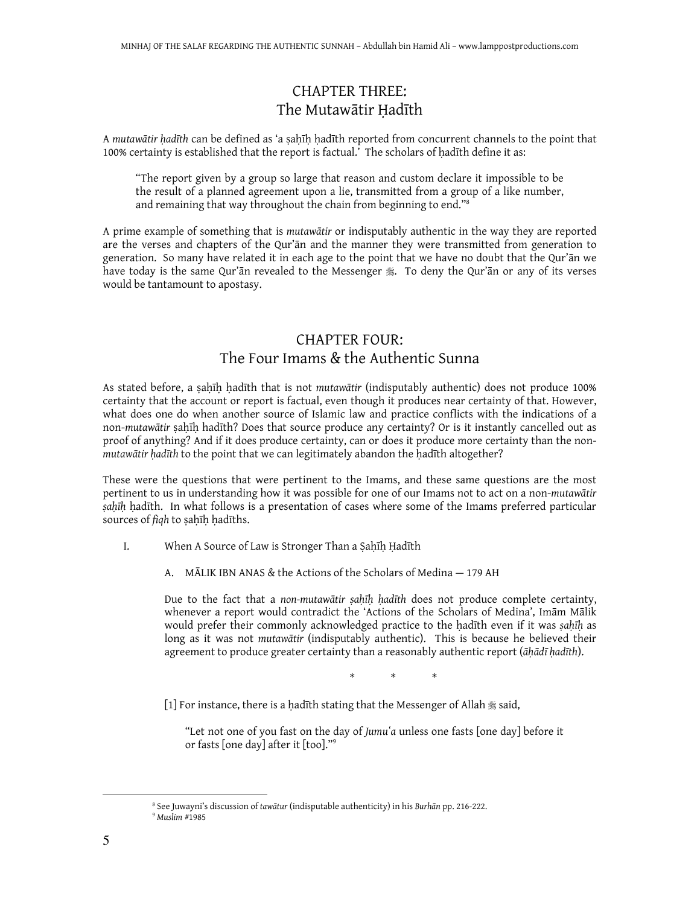# CHAPTER THREE: The Mutawātir Ḥadīth

A mutawātir ḥadīth can be defined as 'a ṣaḥīḥ ḥadīth reported from concurrent channels to the point that 100% certainty is established that the report is factual.' The scholars of hadīth define it as:

"The report given by a group so large that reason and custom declare it impossible to be the result of a planned agreement upon a lie, transmitted from a group of a like number, and remaining that way throughout the chain from beginning to end."<sup>8</sup>

A prime example of something that is mutawātir or indisputably authentic in the way they are reported are the verses and chapters of the Qur'ān and the manner they were transmitted from generation to generation. So many have related it in each age to the point that we have no doubt that the Qur'ān we have today is the same Qur'ān revealed to the Messenger  $\ddot{\mathcal{E}}$ . To deny the Qur'ān or any of its verses would be tantamount to apostasy.

# CHAPTER FOUR: The Four Imams & the Authentic Sunna

As stated before, a ṣaḥīḥ ḥadīth that is not mutawātir (indisputably authentic) does not produce 100% certainty that the account or report is factual, even though it produces near certainty of that. However, what does one do when another source of Islamic law and practice conflicts with the indications of a non-mutawātir ṣaḥīḥ hadīth? Does that source produce any certainty? Or is it instantly cancelled out as proof of anything? And if it does produce certainty, can or does it produce more certainty than the nonmutawātir hadīth to the point that we can legitimately abandon the hadīth altogether?

These were the questions that were pertinent to the Imams, and these same questions are the most pertinent to us in understanding how it was possible for one of our Imams not to act on a non-mutawātir sahīh hadīth. In what follows is a presentation of cases where some of the Imams preferred particular sources of figh to sahīh hadīths.

- I. When A Source of Law is Stronger Than a Ṣaḥīḥ Ḥadīth
	- A. MĀLIK IBN ANAS & the Actions of the Scholars of Medina 179 AH

Due to the fact that a non-mutawātir sahīh hadīth does not produce complete certainty, whenever a report would contradict the 'Actions of the Scholars of Medina', Imām Mālik would prefer their commonly acknowledged practice to the hadīth even if it was sahīh as long as it was not mutawātir (indisputably authentic). This is because he believed their agreement to produce greater certainty than a reasonably authentic report ( $\bar{a}h\bar{a}d\bar{t}h$  hadīth).

 $\begin{array}{ccc} \ast & \ast & \ast \end{array}$ 

[1] For instance, there is a hadīth stating that the Messenger of Allah  $\frac{1}{28}$  said,

"Let not one of you fast on the day of Jumu'a unless one fasts [one day] before it or fasts [one day] after it [too]."<sup>9</sup>

<sup>&</sup>lt;sup>8</sup> See Juwayni's discussion of tawātur (indisputable authenticity) in his Burhān pp. 216-222. <sup>9</sup> Muslim #1985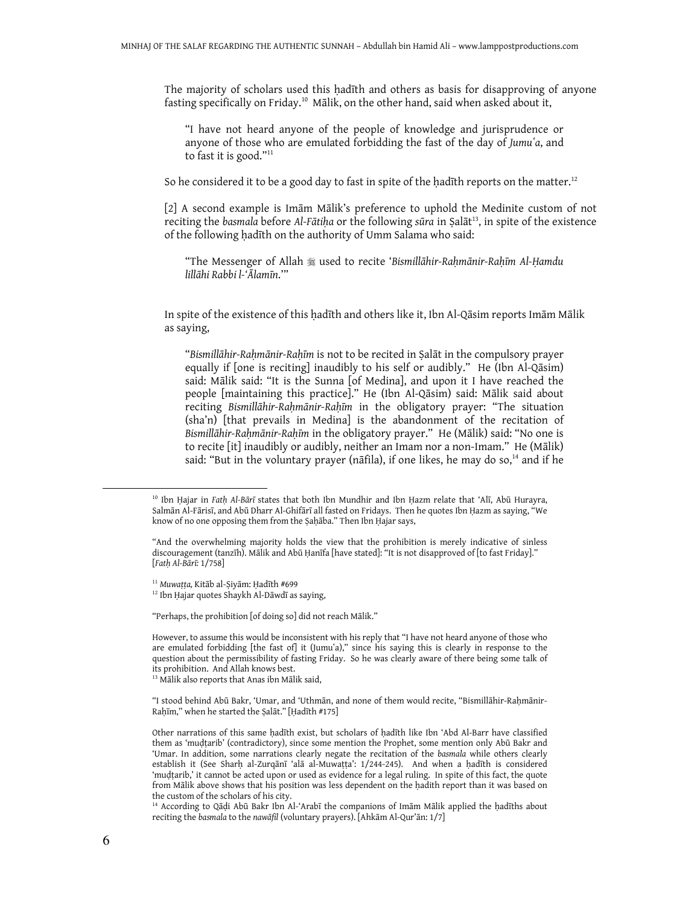The majority of scholars used this hadīth and others as basis for disapproving of anyone fasting specifically on Friday.<sup>10</sup> Mālik, on the other hand, said when asked about it,

"I have not heard anyone of the people of knowledge and jurisprudence or anyone of those who are emulated forbidding the fast of the day of Jumu'a, and to fast it is good."<sup>11</sup>

So he considered it to be a good day to fast in spite of the hadīth reports on the matter. $12$ 

[2] A second example is Imām Mālik's preference to uphold the Medinite custom of not reciting the basmala before Al-Fātiha or the following sūra in Salāt<sup>13</sup>, in spite of the existence of the following hadīth on the authority of Umm Salama who said:

"The Messenger of Allah used to recite 'Bismillāhir-Raḥmānir-Raḥīm Al-Ḥamdu lillāhi Rabbi l-'Ālamīn.'"

In spite of the existence of this ḥadīth and others like it, Ibn Al-Qāsim reports Imām Mālik as saying,

"Bismillāhir-Raḥmānir-Raḥīm is not to be recited in Ṣalāt in the compulsory prayer equally if [one is reciting] inaudibly to his self or audibly." He (Ibn Al-Qāsim) said: Mālik said: "It is the Sunna [of Medina], and upon it I have reached the people [maintaining this practice]." He (Ibn Al-Qāsim) said: Mālik said about reciting Bismillāhir-Rahmānir-Rahīm in the obligatory prayer: "The situation (sha'n) [that prevails in Medina] is the abandonment of the recitation of Bismillāhir-Raḥmānir-Raḥīm in the obligatory prayer." He (Mālik) said: "No one is to recite [it] inaudibly or audibly, neither an Imam nor a non-Imam." He (Mālik) said: "But in the voluntary prayer (nāfila), if one likes, he may do so, $<sup>14</sup>$  and if he</sup>

<sup>11</sup> Muwaṭṭa, Kitāb al-Ṣiyām: Ḥadīth #699

<sup>12</sup> Ibn Hajar quotes Shaykh Al-Dāwdī as saying,

"Perhaps, the prohibition [of doing so] did not reach Mālik."

<sup>&</sup>lt;sup>10</sup> Ibn Ḥajar in Fath Al-Bārī states that both Ibn Mundhir and Ibn Ḥazm relate that 'Alī, Abū Hurayra, Salmān Al-Fārisī, and Abū Dharr Al-Ghifārī all fasted on Fridays. Then he quotes Ibn Ḥazm as saying, "We know of no one opposing them from the Ṣaḥāba." Then Ibn Ḥajar says,

<sup>&</sup>quot;And the overwhelming majority holds the view that the prohibition is merely indicative of sinless discouragement (tanzīh). Mālik and Abū Ḥanīfa [have stated]: "It is not disapproved of [to fast Friday]." [Fatḥ Al-Bārī: 1/758]

However, to assume this would be inconsistent with his reply that "I have not heard anyone of those who are emulated forbidding [the fast of] it (Jumu'a)," since his saying this is clearly in response to the question about the permissibility of fasting Friday. So he was clearly aware of there being some talk of its prohibition. And Allah knows best.

<sup>&</sup>lt;sup>13</sup> Mālik also reports that Anas ibn Mālik said,

<sup>&</sup>quot;I stood behind Abū Bakr, 'Umar, and 'Uthmān, and none of them would recite, "Bismillāhir-Rahmānir-Raḥīm," when he started the Ṣalāt." [Ḥadīth #175]

Other narrations of this same ḥadīth exist, but scholars of ḥadīth like Ibn 'Abd Al-Barr have classified them as 'muḍṭarib' (contradictory), since some mention the Prophet, some mention only Abū Bakr and 'Umar. In addition, some narrations clearly negate the recitation of the basmala while others clearly establish it (See Sharḥ al-Zurqānī 'alā al-Muwaṭṭa': 1/244-245). And when a ḥadīth is considered 'muḍṭarib,' it cannot be acted upon or used as evidence for a legal ruling. In spite of this fact, the quote from Mālik above shows that his position was less dependent on the ḥadith report than it was based on the custom of the scholars of his city.

<sup>14</sup> According to Qāḍi Abū Bakr Ibn Al-'Arabī the companions of Imām Mālik applied the ḥadīths about reciting the basmala to the nawāfil (voluntary prayers). [Ahkām Al-Qur'ān: 1/7]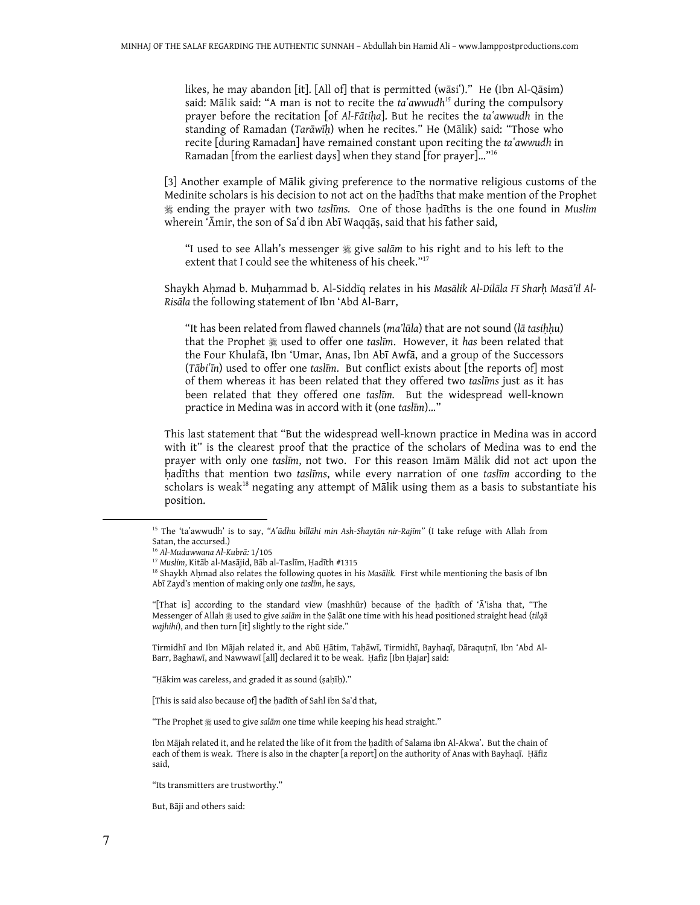likes, he may abandon [it]. [All of] that is permitted (wāsi')." He (Ibn Al-Qāsim) said: Mālik said: "A man is not to recite the  $ta'awwudh<sup>15</sup>$  during the compulsory prayer before the recitation [of Al-Fātiḥa]. But he recites the ta`awwudh in the standing of Ramadan (Tarāwīḥ) when he recites." He (Mālik) said: "Those who recite [during Ramadan] have remained constant upon reciting the ta'awwudh in Ramadan [from the earliest days] when they stand [for prayer]…"<sup>16</sup>

[3] Another example of Mālik giving preference to the normative religious customs of the Medinite scholars is his decision to not act on the ḥadīths that make mention of the Prophet **# ending the prayer with two taslims.** One of those hadiths is the one found in Muslim wherein 'Āmir, the son of Sa'd ibn Abī Waqqās, said that his father said,

"I used to see Allah's messenger give salām to his right and to his left to the extent that I could see the whiteness of his cheek." 17

Shaykh Aḥmad b. Muḥammad b. Al-Siddīq relates in his Masālik Al-Dilāla Fī Sharḥ Masā'il Al-Risāla the following statement of Ibn 'Abd Al-Barr,

"It has been related from flawed channels (ma'lūla) that are not sound (lā tasihhu) that the Prophet  $*$  used to offer one taslim. However, it has been related that the Four Khulafā, Ibn 'Umar, Anas, Ibn Abī Awfā, and a group of the Successors  $(Tābi<sup>th</sup>īn)$  used to offer one taslīm. But conflict exists about [the reports of] most of them whereas it has been related that they offered two taslīms just as it has been related that they offered one taslīm. But the widespread well-known practice in Medina was in accord with it (one taslīm)…"

This last statement that "But the widespread well-known practice in Medina was in accord with it" is the clearest proof that the practice of the scholars of Medina was to end the prayer with only one taslīm, not two. For this reason Imām Mālik did not act upon the hadīths that mention two taslīms, while every narration of one taslīm according to the scholars is weak<sup>18</sup> negating any attempt of Mālik using them as a basis to substantiate his position.

Tirmidhī and Ibn Mājah related it, and Abū Ḥātim, Taḥāwī, Tirmidhī, Bayhaqī, Dāraquṭnī, Ibn 'Abd Al-Barr, Baghawī, and Nawwawī [all] declared it to be weak. Ḥafiz [Ibn Ḥajar] said:

"Hākim was careless, and graded it as sound (sahīh)."

[This is said also because of] the hadīth of Sahl ibn Sa'd that,

"The Prophet  $\frac{m}{2}$  used to give salām one time while keeping his head straight."

Ibn Mājah related it, and he related the like of it from the hadīth of Salama ibn Al-Akwaʿ. But the chain of each of them is weak. There is also in the chapter [a report] on the authority of Anas with Bayhaqī. Ḥāfiz said,

"Its transmitters are trustworthy."

But, Bāji and others said:

<sup>&</sup>lt;sup>15</sup> The 'taʿawwudh' is to say, "Aʿūdhu billāhi min Ash-Shaytān nir-Rajīm" (I take refuge with Allah from Satan, the accursed.)

<sup>16</sup> Al-Mudawwana Al-Kubrā: 1/105

<sup>17</sup> Muslim, Kitāb al-Masājid, Bāb al-Taslīm, Ḥadīth #1315

<sup>&</sup>lt;sup>18</sup> Shaykh Aḥmad also relates the following quotes in his Masālik. First while mentioning the basis of Ibn Abī Zayd's mention of making only one taslīm, he says,

<sup>&</sup>quot;[That is] according to the standard view (mashhūr) because of the ḥadīth of 'Ā'isha that, "The Messenger of Allah # used to give salām in the Şalāt one time with his head positioned straight head (tilqā wajhihi), and then turn [it] slightly to the right side."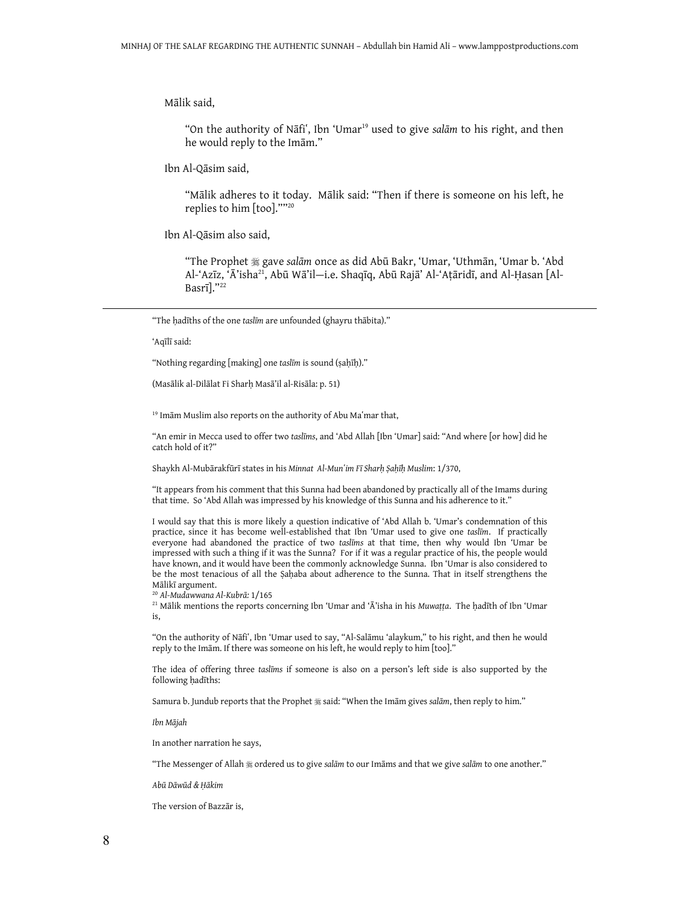Mālik said,

"On the authority of Nāfi", Ibn 'Umar<sup>19</sup> used to give salām to his right, and then he would reply to the Imām."

Ibn Al-Qāsim said,

"Mālik adheres to it today. Mālik said: "Then if there is someone on his left, he replies to him [too].""<sup>20</sup>

Ibn Al-Qāsim also said,

"The Prophet gave salām once as did Abū Bakr, 'Umar, 'Uthmān, 'Umar b. 'Abd Al-'Azīz, 'Ā'isha<sup>21</sup>, Abū Wā'il—i.e. Shaqīq, Abū Rajā' Al-'Aṭāridī, and Al-Ḥasan [Al-Basrī]."<sup>22</sup>

"The hadīths of the one taslīm are unfounded (ghayru thābita)."

'Aqīlī said:

 $\overline{a}$ 

"Nothing regarding [making] one taslīm is sound (ṣaḥīḥ)."

(Masālik al-Dilālat Fi Sharḥ Masā'il al-Risāla: p. 51)

<sup>19</sup> Imām Muslim also reports on the authority of Abu Ma'mar that,

"An emir in Mecca used to offer two taslīms, and 'Abd Allah [Ibn 'Umar] said: "And where [or how] did he catch hold of it?"

Shaykh Al-Mubārakfūrī states in his Minnat Al-Mun'im Fī Sharḥ Ṣaḥīḥ Muslim: 1/370,

"It appears from his comment that this Sunna had been abandoned by practically all of the Imams during that time. So 'Abd Allah was impressed by his knowledge of this Sunna and his adherence to it."

I would say that this is more likely a question indicative of 'Abd Allah b. 'Umar's condemnation of this practice, since it has become well-established that Ibn 'Umar used to give one taslīm. If practically everyone had abandoned the practice of two taslīms at that time, then why would Ibn 'Umar be impressed with such a thing if it was the Sunna? For if it was a regular practice of his, the people would have known, and it would have been the commonly acknowledge Sunna. Ibn 'Umar is also considered to be the most tenacious of all the Sahaba about adherence to the Sunna. That in itself strengthens the Mālikī argument.

<sup>20</sup> Al-Mudawwana Al-Kubrā: 1/165

<sup>21</sup> Mālik mentions the reports concerning Ibn 'Umar and 'Ā'isha in his Muwaṭṭa. The ḥadīth of Ibn 'Umar is,

"On the authority of Nāfiʽ, Ibn 'Umar used to say, "Al-Salāmu 'alaykum," to his right, and then he would reply to the Imām. If there was someone on his left, he would reply to him [too]."

The idea of offering three taslīms if someone is also on a person's left side is also supported by the following ḥadīths:

Samura b. Jundub reports that the Prophet  $\frac{m}{2}$  said: "When the Imām gives salām, then reply to him."

Ibn Mājah

In another narration he says,

"The Messenger of Allah # ordered us to give salām to our Imāms and that we give salām to one another."

Abū Dāwūd & Ḥākim

The version of Bazzār is,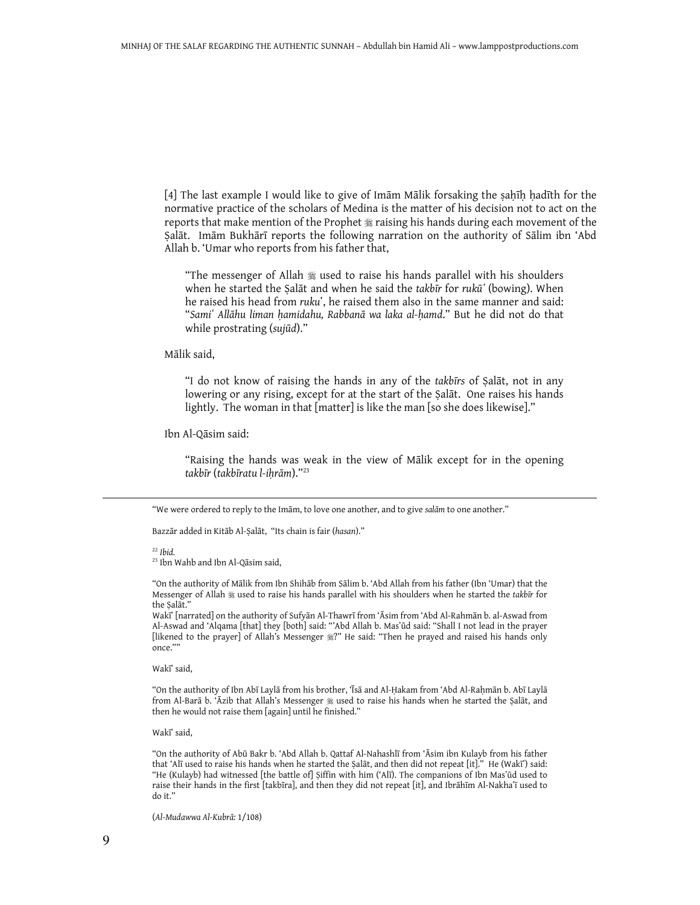[4] The last example I would like to give of Imām Mālik forsaking the ṣaḥīḥ ḥadīth for the normative practice of the scholars of Medina is the matter of his decision not to act on the reports that make mention of the Prophet  $*$  raising his hands during each movement of the Ṣalāt. Imām Bukhārī reports the following narration on the authority of Sālim ibn 'Abd Allah b. 'Umar who reports from his father that,

"The messenger of Allah  $*$  used to raise his hands parallel with his shoulders when he started the Salat and when he said the takbir for rukū (bowing). When he raised his head from ruku', he raised them also in the same manner and said: "Samiʽ Allāhu liman ḥamidahu, Rabbanā wa laka al-ḥamd." But he did not do that while prostrating (sujūd)."

Mālik said,

"I do not know of raising the hands in any of the takbīrs of Ṣalāt, not in any lowering or any rising, except for at the start of the Ṣalāt. One raises his hands lightly. The woman in that [matter] is like the man [so she does likewise]."

Ibn Al-Qāsim said:

"Raising the hands was weak in the view of Mālik except for in the opening takbīr (takbīratu l-iḥrām)."<sup>23</sup>

"We were ordered to reply to the Imām, to love one another, and to give salām to one another."

Bazzār added in Kitāb Al-Ṣalāt, "Its chain is fair (hasan)."

 $22$  Ibid.

l.

<sup>23</sup> Ibn Wahb and Ibn Al-Qāsim said,

"On the authority of Mālik from Ibn Shihāb from Sālim b. 'Abd Allah from his father (Ibn 'Umar) that the Messenger of Allah  $\frac{1}{28}$  used to raise his hands parallel with his shoulders when he started the takbīr for the Ṣalāt."

Wakī [narrated] on the authority of Sufyan Al-Thawrī from 'Asim from 'Abd Al-Rahman b. al-Aswad from Al-Aswad and 'Alqama [that] they [both] said: "'Abd Allah b. Masʽūd said: "Shall I not lead in the prayer [likened to the prayer] of Allah's Messenger  $\frac{m}{2}$ " He said: "Then he prayed and raised his hands only once."

Wakī' said.

"On the authority of Ibn Abī Laylā from his brother, 'Īsā and Al-Ḥakam from 'Abd Al-Raḥmān b. Abī Laylā from Al-Barā b. 'Āzib that Allah's Messenger  $\frac{4}{36}$  used to raise his hands when he started the Şalāt, and then he would not raise them [again] until he finished."

Wakī' said,

"On the authority of Abū Bakr b. 'Abd Allah b. Qattaf Al-Nahashlī from 'Āsim ibn Kulayb from his father that 'Alī used to raise his hands when he started the Salāt, and then did not repeat [it]." He (Wakī') said: "He (Kulayb) had witnessed [the battle of] Ṣiffin with him ('Alī). The companions of Ibn Masʽūd used to raise their hands in the first [takbīra], and then they did not repeat [it], and Ibrāhīm Al-Nakha'ī used to do it."

(Al-Mudawwa Al-Kubrā: 1/108)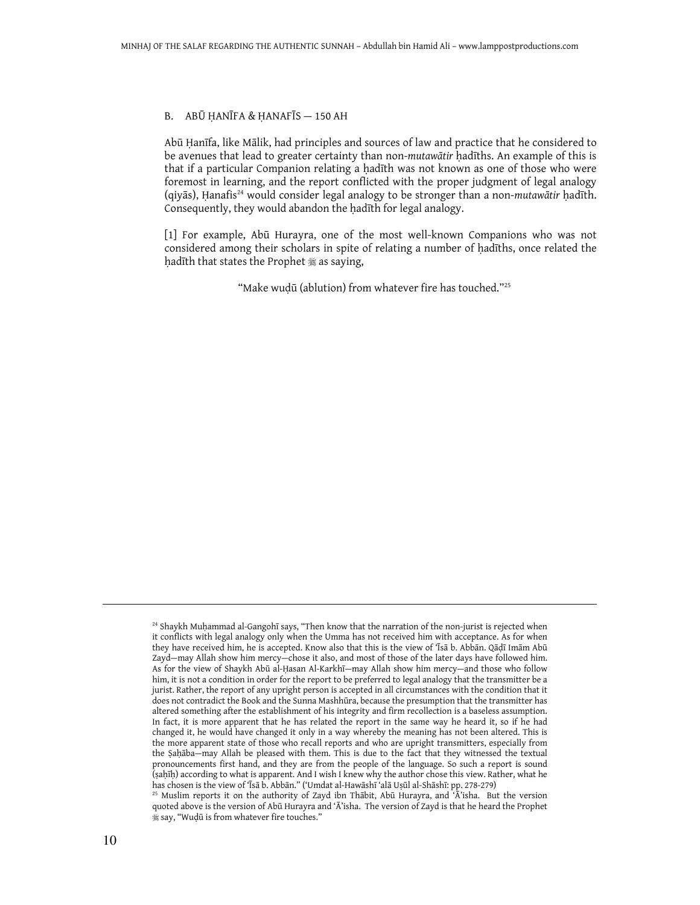#### B. ABŪ ḤANĪFA & ḤANAFĪS — 150 AH

Abū Ḥanīfa, like Mālik, had principles and sources of law and practice that he considered to be avenues that lead to greater certainty than non-mutawātir ḥadīths. An example of this is that if a particular Companion relating a ḥadīth was not known as one of those who were foremost in learning, and the report conflicted with the proper judgment of legal analogy (qiyās), Ḥanafis<sup>24</sup> would consider legal analogy to be stronger than a non-mutawātir ḥadīth. Consequently, they would abandon the hadith for legal analogy.

[1] For example, Abū Hurayra, one of the most well-known Companions who was not considered among their scholars in spite of relating a number of hadīths, once related the hadīth that states the Prophet  $\frac{1}{28}$  as saying,

"Make wuḍū (ablution) from whatever fire has touched."<sup>25</sup>

<sup>&</sup>lt;sup>24</sup> Shaykh Muḥammad al-Gangohī says, "Then know that the narration of the non-jurist is rejected when it conflicts with legal analogy only when the Umma has not received him with acceptance. As for when they have received him, he is accepted. Know also that this is the view of 'Īsā b. Abbān. Qāḍī Imām Abū Zayd—may Allah show him mercy—chose it also, and most of those of the later days have followed him. As for the view of Shaykh Abū al-Ḥasan Al-Karkhī—may Allah show him mercy—and those who follow him, it is not a condition in order for the report to be preferred to legal analogy that the transmitter be a jurist. Rather, the report of any upright person is accepted in all circumstances with the condition that it does not contradict the Book and the Sunna Mashhūra, because the presumption that the transmitter has altered something after the establishment of his integrity and firm recollection is a baseless assumption. In fact, it is more apparent that he has related the report in the same way he heard it, so if he had changed it, he would have changed it only in a way whereby the meaning has not been altered. This is the more apparent state of those who recall reports and who are upright transmitters, especially from the Ṣaḥāba—may Allah be pleased with them. This is due to the fact that they witnessed the textual pronouncements first hand, and they are from the people of the language. So such a report is sound (ṣaḥīḥ) according to what is apparent. And I wish I knew why the author chose this view. Rather, what he has chosen is the view of 'Īsā b. Abbān." ('Umdat al-Hawāshī 'alā Uṣūl al-Shāshī: pp. 278-279)

 $25$  Muslim reports it on the authority of Zayd ibn Thābit, Abū Hurayra, and 'Ā'isha. But the version quoted above is the version of Abū Hurayra and 'Ā'isha. The version of Zayd is that he heard the Prophet say, "Wuḍū is from whatever fire touches."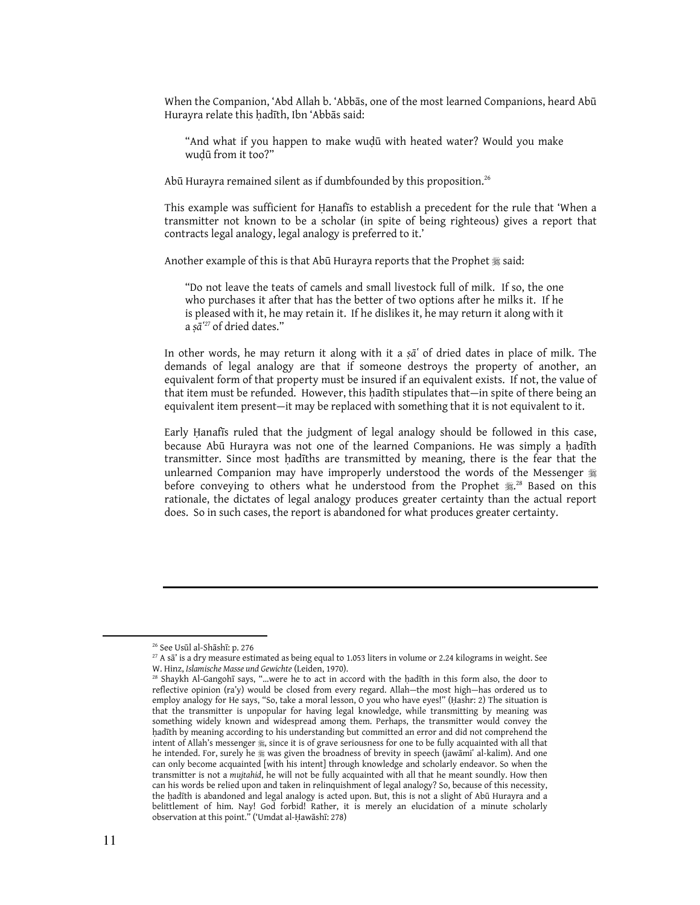When the Companion, 'Abd Allah b. 'Abbās, one of the most learned Companions, heard Abū Hurayra relate this hadīth, Ibn 'Abbās said:

"And what if you happen to make wuḍū with heated water? Would you make wuḍū from it too?"

Abū Hurayra remained silent as if dumbfounded by this proposition. $^{26}$ 

This example was sufficient for Ḥanafīs to establish a precedent for the rule that 'When a transmitter not known to be a scholar (in spite of being righteous) gives a report that contracts legal analogy, legal analogy is preferred to it.'

Another example of this is that Abū Hurayra reports that the Prophet  $\frac{1}{28}$  said:

"Do not leave the teats of camels and small livestock full of milk. If so, the one who purchases it after that has the better of two options after he milks it. If he is pleased with it, he may retain it. If he dislikes it, he may return it along with it a ș $\bar{a}$ <sup>27</sup> of dried dates."

In other words, he may return it along with it a  $s\bar{a}$  of dried dates in place of milk. The demands of legal analogy are that if someone destroys the property of another, an equivalent form of that property must be insured if an equivalent exists. If not, the value of that item must be refunded. However, this hadīth stipulates that—in spite of there being an equivalent item present—it may be replaced with something that it is not equivalent to it.

Early Ḥanafīs ruled that the judgment of legal analogy should be followed in this case, because Abū Hurayra was not one of the learned Companions. He was simply a hadīth transmitter. Since most ḥadīths are transmitted by meaning, there is the fear that the unlearned Companion may have improperly understood the words of the Messenger before conveying to others what he understood from the Prophet  $\ddot{\tilde{\pi}}^{28}$  Based on this rationale, the dictates of legal analogy produces greater certainty than the actual report does. So in such cases, the report is abandoned for what produces greater certainty.

<sup>26</sup> See Usūl al-Shāshī: p. 276

 $^{27}$  A sa' is a dry measure estimated as being equal to 1.053 liters in volume or 2.24 kilograms in weight. See W. Hinz, Islamische Masse und Gewichte (Leiden, 1970).

 $28$  Shaykh Al-Gangohī says, "...were he to act in accord with the hadīth in this form also, the door to reflective opinion (ra'y) would be closed from every regard. Allah—the most high—has ordered us to employ analogy for He says, "So, take a moral lesson, O you who have eyes!" (Ḥashr: 2) The situation is that the transmitter is unpopular for having legal knowledge, while transmitting by meaning was something widely known and widespread among them. Perhaps, the transmitter would convey the ḥadīth by meaning according to his understanding but committed an error and did not comprehend the intent of Allah's messenger  $\frac{1}{25}$ , since it is of grave seriousness for one to be fully acquainted with all that he intended. For, surely he 翁 was given the broadness of brevity in speech (jawāmiʿ al-kalim). And one can only become acquainted [with his intent] through knowledge and scholarly endeavor. So when the transmitter is not a mujtahid, he will not be fully acquainted with all that he meant soundly. How then can his words be relied upon and taken in relinquishment of legal analogy? So, because of this necessity, the hadīth is abandoned and legal analogy is acted upon. But, this is not a slight of Abū Hurayra and a belittlement of him. Nay! God forbid! Rather, it is merely an elucidation of a minute scholarly observation at this point." ('Umdat al-Ḥawāshī: 278)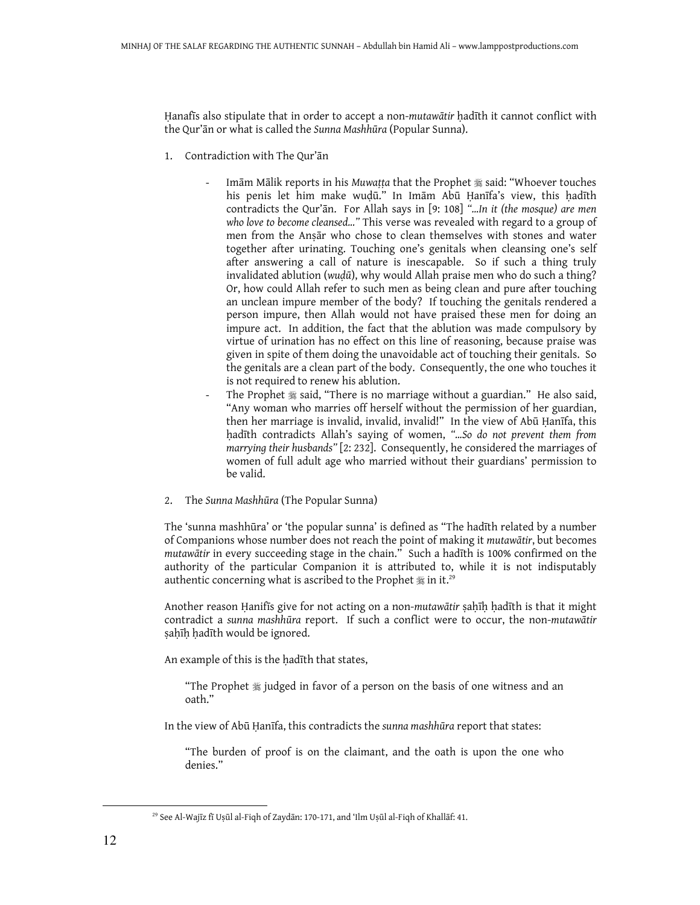Hanafīs also stipulate that in order to accept a non-mutawātir hadīth it cannot conflict with the Qur'ān or what is called the Sunna Mashhūra (Popular Sunna).

- 1. Contradiction with The Qur'ān
	- Imām Mālik reports in his Muwaṭṭa that the Prophet \* said: "Whoever touches his penis let him make wudū." In Imām Abū Hanīfa's view, this hadīth contradicts the Qur'ān. For Allah says in [9: 108] "…In it (the mosque) are men who love to become cleansed..." This verse was revealed with regard to a group of men from the Anṣār who chose to clean themselves with stones and water together after urinating. Touching one's genitals when cleansing one's self after answering a call of nature is inescapable. So if such a thing truly invalidated ablution (wuḍū), why would Allah praise men who do such a thing? Or, how could Allah refer to such men as being clean and pure after touching an unclean impure member of the body? If touching the genitals rendered a person impure, then Allah would not have praised these men for doing an impure act. In addition, the fact that the ablution was made compulsory by virtue of urination has no effect on this line of reasoning, because praise was given in spite of them doing the unavoidable act of touching their genitals. So the genitals are a clean part of the body. Consequently, the one who touches it is not required to renew his ablution.
	- The Prophet  $\frac{1}{20}$  said, "There is no marriage without a guardian." He also said, "Any woman who marries off herself without the permission of her guardian, then her marriage is invalid, invalid, invalid!" In the view of Abū Ḥanīfa, this ḥadīth contradicts Allah's saying of women, "…So do not prevent them from marrying their husbands" [2: 232]. Consequently, he considered the marriages of women of full adult age who married without their guardians' permission to be valid.
- 2. The Sunna Mashhūra (The Popular Sunna)

The 'sunna mashhūra' or 'the popular sunna' is defined as "The hadīth related by a number of Companions whose number does not reach the point of making it mutawātir, but becomes mutawātir in every succeeding stage in the chain." Such a hadīth is 100% confirmed on the authority of the particular Companion it is attributed to, while it is not indisputably authentic concerning what is ascribed to the Prophet  $\frac{4}{36}$  in it.<sup>29</sup>

Another reason Ḥanifīs give for not acting on a non-mutawātir ṣaḥīḥ ḥadīth is that it might contradict a sunna mashhūra report. If such a conflict were to occur, the non-mutawātir sahīh hadīth would be ignored.

An example of this is the ḥadīth that states,

"The Prophet  $*$  judged in favor of a person on the basis of one witness and an oath."

In the view of Abū Ḥanīfa, this contradicts the sunna mashhūra report that states:

"The burden of proof is on the claimant, and the oath is upon the one who denies."

<sup>29</sup> See Al-Wajīz fī Uṣūl al-Fiqh of Zaydān: 170-171, and 'Ilm Uṣūl al-Fiqh of Khallāf: 41.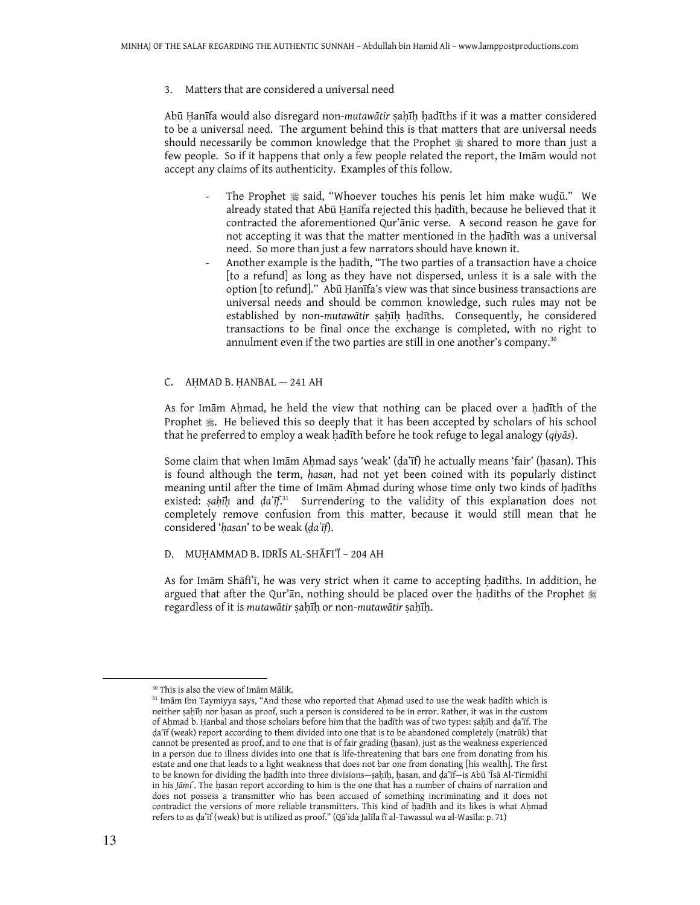3. Matters that are considered a universal need

Abū Ḥanīfa would also disregard non-mutawātir ṣaḥīḥ ḥadīths if it was a matter considered to be a universal need. The argument behind this is that matters that are universal needs should necessarily be common knowledge that the Prophet  $\frac{1}{28}$  shared to more than just a few people. So if it happens that only a few people related the report, the Imām would not accept any claims of its authenticity. Examples of this follow.

- The Prophet  $*$  said, "Whoever touches his penis let him make wudū." We already stated that Abū Ḥanīfa rejected this hadīth, because he believed that it contracted the aforementioned Qur'ānic verse. A second reason he gave for not accepting it was that the matter mentioned in the ḥadīth was a universal need. So more than just a few narrators should have known it.
- Another example is the hadīth, "The two parties of a transaction have a choice [to a refund] as long as they have not dispersed, unless it is a sale with the option [to refund]." Abū Ḥanīfa's view was that since business transactions are universal needs and should be common knowledge, such rules may not be established by non-mutawātir sahīh hadīths. Consequently, he considered transactions to be final once the exchange is completed, with no right to annulment even if the two parties are still in one another's company.<sup>30</sup>

#### C. AḤMAD B. ḤANBAL — 241 AH

As for Imām Aḥmad, he held the view that nothing can be placed over a ḥadīth of the Prophet  $\ddot{\textbf{x}}$ . He believed this so deeply that it has been accepted by scholars of his school that he preferred to employ a weak hadīth before he took refuge to legal analogy (*qiyās*).

Some claim that when Imām Aḥmad says 'weak' (ḍaʿīf) he actually means 'fair' (ḥasan). This is found although the term, hasan, had not yet been coined with its popularly distinct meaning until after the time of Imām Ahmad during whose time only two kinds of hadīths existed: șaḥīḥ and ḍaʿīf<sup>, 31</sup> Surrendering to the validity of this explanation does not completely remove confusion from this matter, because it would still mean that he considered 'hasan' to be weak (da'īf).

#### D. MUḤAMMAD B. IDRĪS AL-SHĀFIʿĪ – 204 AH

As for Imām Shāfi'ī, he was very strict when it came to accepting hadīths. In addition, he argued that after the Qur'ān, nothing should be placed over the hadiths of the Prophet  $\ddot{\text{F}}$ regardless of it is mutawātir sahīh or non-mutawātir sahīh.

<sup>30</sup> This is also the view of Imām Mālik.

 $31$  Imām Ibn Taymiyya says, "And those who reported that Ahmad used to use the weak hadīth which is neither ṣaḥīḥ nor ḥasan as proof, such a person is considered to be in error. Rather, it was in the custom of Aḥmad b. Ḥanbal and those scholars before him that the ḥadīth was of two types: ṣaḥīḥ and ḍaʽīf. The da'<sub>If</sub> (weak) report according to them divided into one that is to be abandoned completely (matrūk) that cannot be presented as proof, and to one that is of fair grading (ḥasan), just as the weakness experienced in a person due to illness divides into one that is life-threatening that bars one from donating from his estate and one that leads to a light weakness that does not bar one from donating [his wealth]. The first to be known for dividing the ḥadīth into three divisions—ṣaḥīḥ, ḥasan, and ḍaʽīf—is Abū 'Īsā Al-Tirmidhī in his Jāmi'. The hasan report according to him is the one that has a number of chains of narration and does not possess a transmitter who has been accused of something incriminating and it does not contradict the versions of more reliable transmitters. This kind of ḥadīth and its likes is what Aḥmad refers to as ḍaʽīf (weak) but is utilized as proof." (Qāʽida Jalīla fī al-Tawassul wa al-Wasīla: p. 71)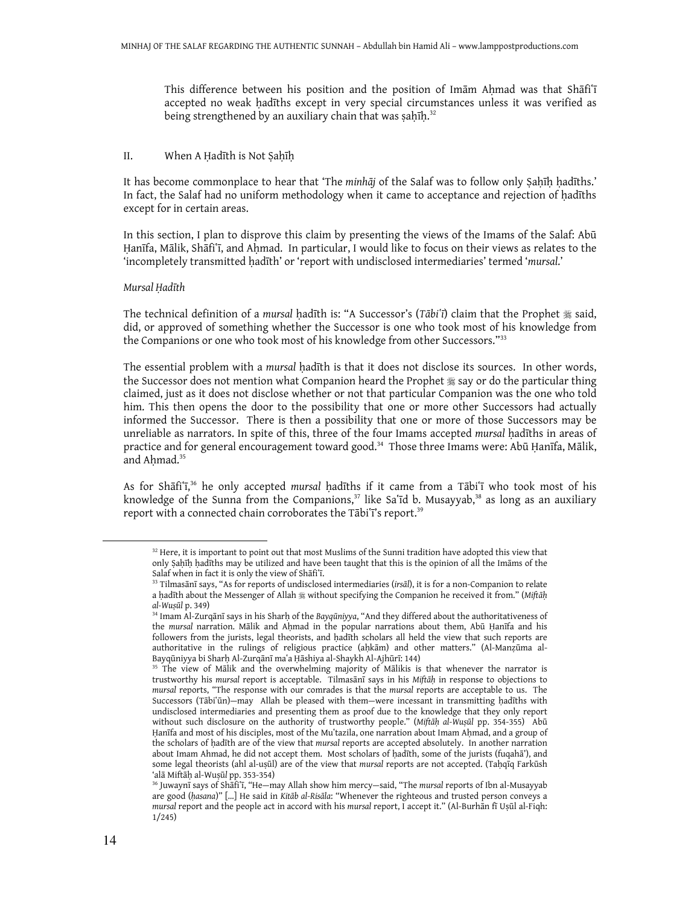This difference between his position and the position of Imam Ahmad was that Shafi'i accepted no weak hadīths except in very special circumstances unless it was verified as being strengthened by an auxiliary chain that was ṣaḥīḥ.<sup>32</sup>

#### II. When A Ḥadīth is Not Ṣaḥīḥ

It has become commonplace to hear that 'The minhāj of the Salaf was to follow only Ṣaḥīḥ ḥadīths.' In fact, the Salaf had no uniform methodology when it came to acceptance and rejection of ḥadīths except for in certain areas.

In this section, I plan to disprove this claim by presenting the views of the Imams of the Salaf: Abū Hanīfa, Mālik, Shāfi'ī, and Ahmad. In particular, I would like to focus on their views as relates to the 'incompletely transmitted hadīth' or 'report with undisclosed intermediaries' termed 'mursal.'

#### Mursal Ḥadīth

The technical definition of a mursal hadīth is: "A Successor's (Tābi'ī) claim that the Prophet  $*$  said, did, or approved of something whether the Successor is one who took most of his knowledge from the Companions or one who took most of his knowledge from other Successors."33

The essential problem with a mursal hadīth is that it does not disclose its sources. In other words, the Successor does not mention what Companion heard the Prophet  $\frac{4}{36}$  say or do the particular thing claimed, just as it does not disclose whether or not that particular Companion was the one who told him. This then opens the door to the possibility that one or more other Successors had actually informed the Successor. There is then a possibility that one or more of those Successors may be unreliable as narrators. In spite of this, three of the four Imams accepted mursal ḥadīths in areas of practice and for general encouragement toward good.<sup>34</sup> Those three Imams were: Abū Ḥanīfa, Mālik, and Ahmad.<sup>35</sup>

As for Shāfi'ī,<sup>36</sup> he only accepted mursal hadīths if it came from a Tābi'ī who took most of his knowledge of the Sunna from the Companions,<sup>37</sup> like Sa'īd b. Musayyab,<sup>38</sup> as long as an auxiliary report with a connected chain corroborates the Tābiʿī's report.<sup>39</sup>

<sup>&</sup>lt;sup>32</sup> Here, it is important to point out that most Muslims of the Sunni tradition have adopted this view that only Ṣaḥīḥ ḥadīths may be utilized and have been taught that this is the opinion of all the Imāms of the Salaf when in fact it is only the view of Shafi'i.

<sup>&</sup>lt;sup>33</sup> Tilmasānī says, "As for reports of undisclosed intermediaries (irsāl), it is for a non-Companion to relate a ḥadīth about the Messenger of Allah # without specifying the Companion he received it from." (Miftāḥ al-Wuṣūl p. 349)

<sup>&</sup>lt;sup>34</sup> Imam Al-Zurqānī says in his Sharḥ of the Bayqūniyya, "And they differed about the authoritativeness of the mursal narration. Mālik and Aḥmad in the popular narrations about them, Abū Ḥanīfa and his followers from the jurists, legal theorists, and hadīth scholars all held the view that such reports are authoritative in the rulings of religious practice (aḥkām) and other matters." (Al-Manẓūma al-Bayqūniyya bi Sharḥ Al-Zurqānī maʽa Ḥāshiya al-Shaykh Al-Ajhūrī: 144)

<sup>&</sup>lt;sup>35</sup> The view of Mālik and the overwhelming majority of Mālikis is that whenever the narrator is trustworthy his mursal report is acceptable. Tilmasānī says in his Miftāḥ in response to objections to mursal reports, "The response with our comrades is that the mursal reports are acceptable to us. The Successors (Tābiʿūn)—may Allah be pleased with them—were incessant in transmitting ḥadīths with undisclosed intermediaries and presenting them as proof due to the knowledge that they only report without such disclosure on the authority of trustworthy people." (Miftah al-Wuṣūl pp. 354-355) Abū Hanīfa and most of his disciples, most of the Muʻtazila, one narration about Imam Aḥmad, and a group of the scholars of hadīth are of the view that mursal reports are accepted absolutely. In another narration about Imam Ahmad, he did not accept them. Most scholars of ḥadīth, some of the jurists (fuqahā'), and some legal theorists (ahl al-uṣūl) are of the view that mursal reports are not accepted. (Tahqīq Farkūsh 'alā Miftāḥ al-Wuṣūl pp. 353-354)

<sup>&</sup>lt;sup>36</sup> Juwaynī says of Shāfi'ī, "He-may Allah show him mercy-said, "The mursal reports of Ibn al-Musayyab are good (hasana)" [...] He said in Kitāb al-Risāla: "Whenever the righteous and trusted person conveys a mursal report and the people act in accord with his mursal report, I accept it." (Al-Burhān fī Uṣūl al-Fiqh: 1/245)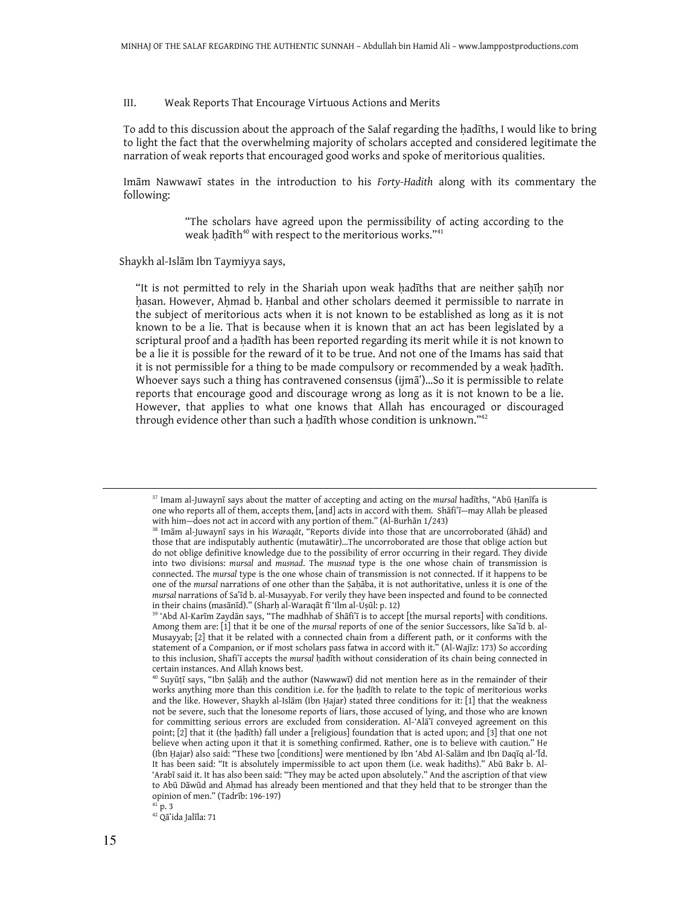#### III. Weak Reports That Encourage Virtuous Actions and Merits

To add to this discussion about the approach of the Salaf regarding the ḥadīths, I would like to bring to light the fact that the overwhelming majority of scholars accepted and considered legitimate the narration of weak reports that encouraged good works and spoke of meritorious qualities.

Imām Nawwawī states in the introduction to his Forty-Hadith along with its commentary the following:

> "The scholars have agreed upon the permissibility of acting according to the weak hadīth $40$  with respect to the meritorious works." $41$

Shaykh al-Islām Ibn Taymiyya says,

"It is not permitted to rely in the Shariah upon weak ḥadīths that are neither ṣaḥīḥ nor hasan. However, Ahmad b. Hanbal and other scholars deemed it permissible to narrate in the subject of meritorious acts when it is not known to be established as long as it is not known to be a lie. That is because when it is known that an act has been legislated by a scriptural proof and a hadīth has been reported regarding its merit while it is not known to be a lie it is possible for the reward of it to be true. And not one of the Imams has said that it is not permissible for a thing to be made compulsory or recommended by a weak hadīth. Whoever says such a thing has contravened consensus (ijmā')...So it is permissible to relate reports that encourage good and discourage wrong as long as it is not known to be a lie. However, that applies to what one knows that Allah has encouraged or discouraged through evidence other than such a ḥadīth whose condition is unknown."<sup>42</sup>

<sup>42</sup> Qāʻida Jalīla: 71

<sup>&</sup>lt;sup>37</sup> Imam al-Juwaynī says about the matter of accepting and acting on the mursal hadīths, "Abū Ḥanīfa is one who reports all of them, accepts them, [and] acts in accord with them. Shāfi'ī-may Allah be pleased with him—does not act in accord with any portion of them." (Al-Burhān 1/243)

<sup>38</sup> Imām al-Juwaynī says in his Waraqāt, "Reports divide into those that are uncorroborated (āhād) and those that are indisputably authentic (mutawātir)…The uncorroborated are those that oblige action but do not oblige definitive knowledge due to the possibility of error occurring in their regard. They divide into two divisions: mursal and musnad. The musnad type is the one whose chain of transmission is connected. The mursal type is the one whose chain of transmission is not connected. If it happens to be one of the mursal narrations of one other than the Ṣaḥāba, it is not authoritative, unless it is one of the mursal narrations of Saʽīd b. al-Musayyab. For verily they have been inspected and found to be connected in their chains (masānīd)." (Sharḥ al-Waraqāt fī 'Ilm al-Uṣūl: p. 12)

<sup>&</sup>lt;sup>39</sup> 'Abd Al-Karīm Zaydān says, "The madhhab of Shāfi'ī is to accept [the mursal reports] with conditions. Among them are: [1] that it be one of the mursal reports of one of the senior Successors, like Sa'īd b. al-Musayyab; [2] that it be related with a connected chain from a different path, or it conforms with the statement of a Companion, or if most scholars pass fatwa in accord with it." (Al-Wajīz: 173) So according to this inclusion, Shafi'ī accepts the mursal hadīth without consideration of its chain being connected in certain instances. And Allah knows best.

<sup>40</sup> Suyūṭī says, "Ibn Ṣalāḥ and the author (Nawwawī) did not mention here as in the remainder of their works anything more than this condition i.e. for the ḥadīth to relate to the topic of meritorious works and the like. However, Shaykh al-Islām (Ibn Ḥajar) stated three conditions for it: [1] that the weakness not be severe, such that the lonesome reports of liars, those accused of lying, and those who are known for committing serious errors are excluded from consideration. Al-'AlaT conveyed agreement on this point; [2] that it (the ḥadīth) fall under a [religious] foundation that is acted upon; and [3] that one not believe when acting upon it that it is something confirmed. Rather, one is to believe with caution." He (Ibn Ḥajar) also said: "These two [conditions] were mentioned by Ibn 'Abd Al-Salām and Ibn Daqīq al-'Īd. It has been said: "It is absolutely impermissible to act upon them (i.e. weak hadiths)." Abū Bakr b. Al- 'Arabī said it. It has also been said: "They may be acted upon absolutely." And the ascription of that view to Abū Dāwūd and Aḥmad has already been mentioned and that they held that to be stronger than the opinion of men." (Tadrīb: 196-197)

 $^{41}$  p. 3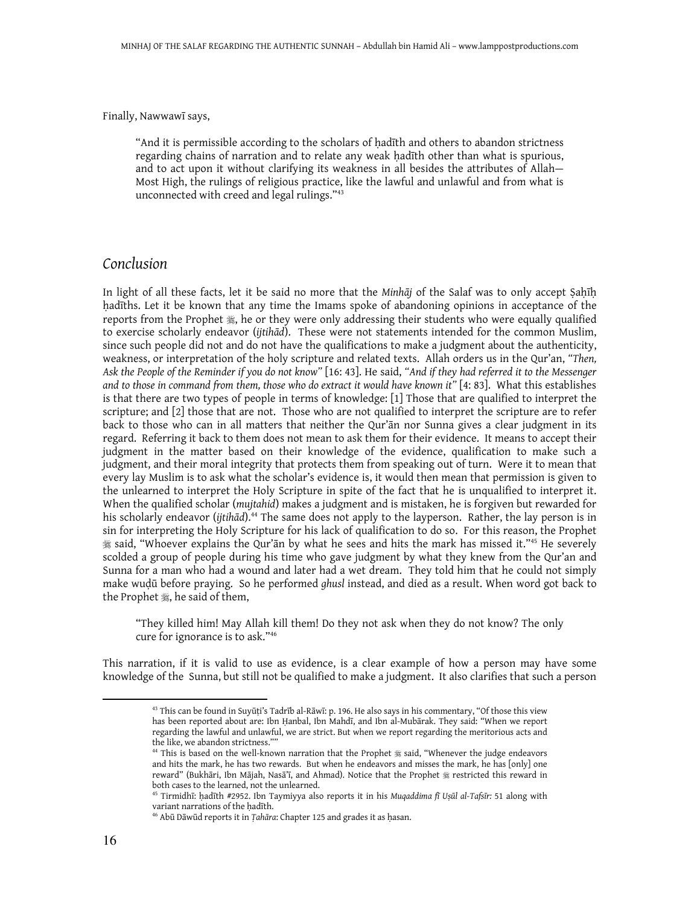Finally, Nawwawī says,

"And it is permissible according to the scholars of ḥadīth and others to abandon strictness regarding chains of narration and to relate any weak ḥadīth other than what is spurious, and to act upon it without clarifying its weakness in all besides the attributes of Allah— Most High, the rulings of religious practice, like the lawful and unlawful and from what is unconnected with creed and legal rulings."<sup>43</sup>

## Conclusion

In light of all these facts, let it be said no more that the Minhāj of the Salaf was to only accept Sahīh ḥadīths. Let it be known that any time the Imams spoke of abandoning opinions in acceptance of the reports from the Prophet  $\frac{1}{26}$ , he or they were only addressing their students who were equally qualified to exercise scholarly endeavor (ijtihād). These were not statements intended for the common Muslim, since such people did not and do not have the qualifications to make a judgment about the authenticity, weakness, or interpretation of the holy scripture and related texts. Allah orders us in the Qur'an, "Then, Ask the People of the Reminder if you do not know" [16: 43]. He said, "And if they had referred it to the Messenger and to those in command from them, those who do extract it would have known it" [4: 83]. What this establishes is that there are two types of people in terms of knowledge: [1] Those that are qualified to interpret the scripture; and [2] those that are not. Those who are not qualified to interpret the scripture are to refer back to those who can in all matters that neither the Qur'ān nor Sunna gives a clear judgment in its regard. Referring it back to them does not mean to ask them for their evidence. It means to accept their judgment in the matter based on their knowledge of the evidence, qualification to make such a judgment, and their moral integrity that protects them from speaking out of turn. Were it to mean that every lay Muslim is to ask what the scholar's evidence is, it would then mean that permission is given to the unlearned to interpret the Holy Scripture in spite of the fact that he is unqualified to interpret it. When the qualified scholar (mujtahid) makes a judgment and is mistaken, he is forgiven but rewarded for his scholarly endeavor (*ijtih*ād).<sup>44</sup> The same does not apply to the layperson. Rather, the lay person is in sin for interpreting the Holy Scripture for his lack of qualification to do so. For this reason, the Prophet said, "Whoever explains the Qur'ān by what he sees and hits the mark has missed it."<sup>45</sup> He severely scolded a group of people during his time who gave judgment by what they knew from the Qur'an and Sunna for a man who had a wound and later had a wet dream. They told him that he could not simply make wuḍū before praying. So he performed ghusl instead, and died as a result. When word got back to the Prophet , he said of them,

"They killed him! May Allah kill them! Do they not ask when they do not know? The only cure for ignorance is to ask."<sup>46</sup>

This narration, if it is valid to use as evidence, is a clear example of how a person may have some knowledge of the Sunna, but still not be qualified to make a judgment. It also clarifies that such a person

<sup>43</sup> This can be found in Suyūṭi's Tadrīb al-Rāwī: p. 196. He also says in his commentary, "Of those this view has been reported about are: Ibn Ḥanbal, Ibn Mahdī, and Ibn al-Mubārak. They said: "When we report regarding the lawful and unlawful, we are strict. But when we report regarding the meritorious acts and the like, we abandon strictness.""

<sup>&</sup>lt;sup>44</sup> This is based on the well-known narration that the Prophet  $*$  said, "Whenever the judge endeavors and hits the mark, he has two rewards. But when he endeavors and misses the mark, he has [only] one reward" (Bukhāri, Ibn Mājah, Nasā'ī, and Ahmad). Notice that the Prophet # restricted this reward in both cases to the learned, not the unlearned.

<sup>&</sup>lt;sup>45</sup> Tirmidhī: ḥadīth #2952. Ibn Taymiyya also reports it in his Muqaddima fī Uṣūl al-Tafsīr: 51 along with variant narrations of the ḥadīth.

<sup>46</sup> Abū Dāwūd reports it in Ṭahāra: Chapter 125 and grades it as ḥasan.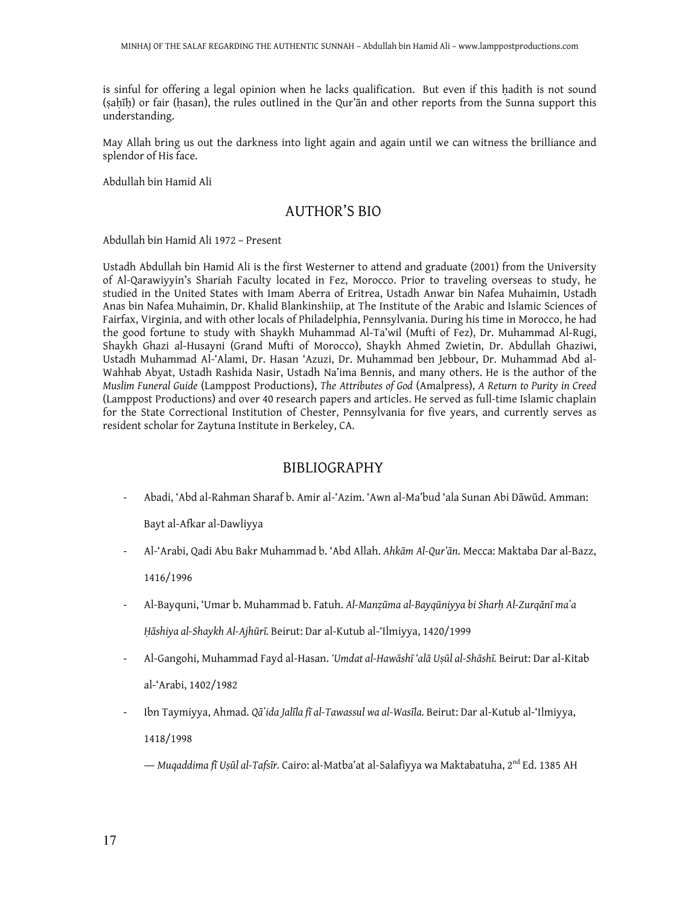is sinful for offering a legal opinion when he lacks qualification. But even if this hadith is not sound (sahīh) or fair (hasan), the rules outlined in the Qur'ān and other reports from the Sunna support this understanding.

May Allah bring us out the darkness into light again and again until we can witness the brilliance and splendor of His face.

Abdullah bin Hamid Ali

# AUTHOR'S BIO

Abdullah bin Hamid Ali 1972 – Present

Ustadh Abdullah bin Hamid Ali is the first Westerner to attend and graduate (2001) from the University of Al-Qarawiyyin's Shariah Faculty located in Fez, Morocco. Prior to traveling overseas to study, he studied in the United States with Imam Aberra of Eritrea, Ustadh Anwar bin Nafea Muhaimin, Ustadh Anas bin Nafea Muhaimin, Dr. Khalid Blankinshiip, at The Institute of the Arabic and Islamic Sciences of Fairfax, Virginia, and with other locals of Philadelphia, Pennsylvania. During his time in Morocco, he had the good fortune to study with Shaykh Muhammad Al-Ta'wil (Mufti of Fez), Dr. Muhammad Al-Rugi, Shaykh Ghazi al-Husayni (Grand Mufti of Morocco), Shaykh Ahmed Zwietin, Dr. Abdullah Ghaziwi, Ustadh Muhammad Al-'Alami, Dr. Hasan 'Azuzi, Dr. Muhammad ben Jebbour, Dr. Muhammad Abd al-Wahhab Abyat, Ustadh Rashida Nasir, Ustadh Na'ima Bennis, and many others. He is the author of the Muslim Funeral Guide (Lamppost Productions), The Attributes of God (Amalpress), A Return to Purity in Creed (Lamppost Productions) and over 40 research papers and articles. He served as full-time Islamic chaplain for the State Correctional Institution of Chester, Pennsylvania for five years, and currently serves as resident scholar for Zaytuna Institute in Berkeley, CA.

# BIBLIOGRAPHY

- Abadi, 'Abd al-Rahman Sharaf b. Amir al-'Azim. 'Awn al-Ma'bud 'ala Sunan Abi Dāwūd. Amman:

Bayt al-Afkar al-Dawliyya

- Al-'Arabi, Qadi Abu Bakr Muhammad b. 'Abd Allah. Ahkām Al-Qur'ān. Mecca: Maktaba Dar al-Bazz, 1416/1996
- Al-Bayquni, 'Umar b. Muhammad b. Fatuh. Al-Manzūma al-Bayqūniyya bi Sharh Al-Zurqānī ma'a Ḥāshiya al-Shaykh Al-Ajhūrī. Beirut: Dar al-Kutub al-'Ilmiyya, 1420/1999
- Al-Gangohi, Muhammad Fayd al-Hasan. 'Umdat al-Hawāshī 'alā Uṣūl al-Shāshī. Beirut: Dar al-Kitab al-'Arabi, 1402/1982
- Ibn Taymiyya, Ahmad. Qāʻida Jalīla fī al-Tawassul wa al-Wasīla. Beirut: Dar al-Kutub al-'Ilmiyya, 1418/1998
	- ― Muqaddima fī Uṣūl al-Tafsīr. Cairo: al-Matba'at al-Salafiyya wa Maktabatuha, 2nd Ed. 1385 AH